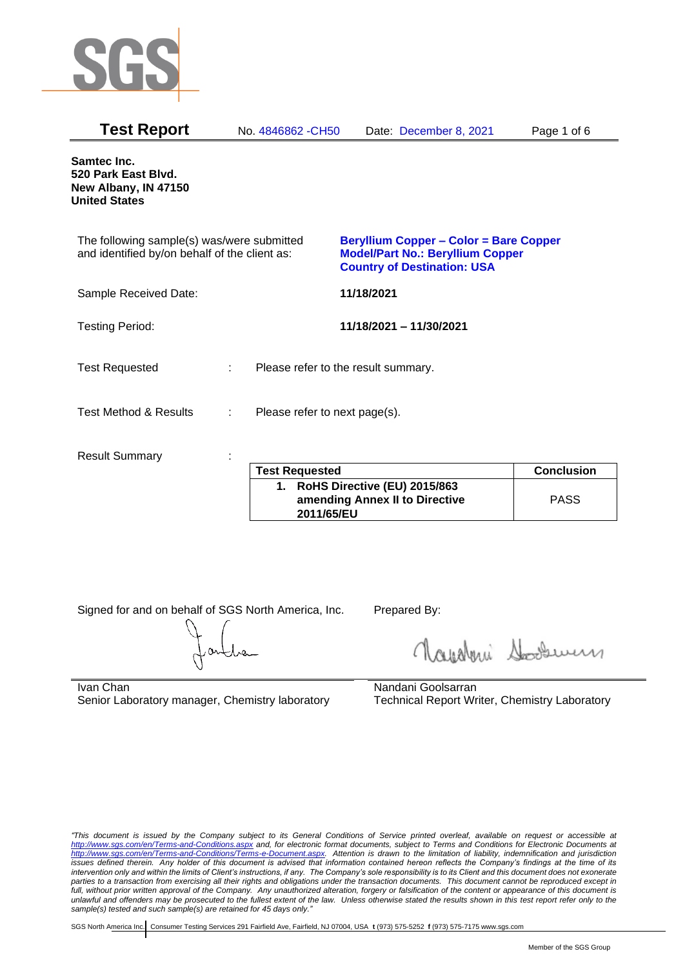

| <b>Test Report</b>                                                                          |   | No. 4846862 - CH50                  |            | Date: December 8, 2021                                                                                                         | Page 1 of 6       |
|---------------------------------------------------------------------------------------------|---|-------------------------------------|------------|--------------------------------------------------------------------------------------------------------------------------------|-------------------|
| Samtec Inc.<br>520 Park East Blvd.<br>New Albany, IN 47150<br><b>United States</b>          |   |                                     |            |                                                                                                                                |                   |
| The following sample(s) was/were submitted<br>and identified by/on behalf of the client as: |   |                                     |            | <b>Beryllium Copper - Color = Bare Copper</b><br><b>Model/Part No.: Beryllium Copper</b><br><b>Country of Destination: USA</b> |                   |
| Sample Received Date:                                                                       |   |                                     | 11/18/2021 |                                                                                                                                |                   |
| <b>Testing Period:</b>                                                                      |   |                                     |            | 11/18/2021 - 11/30/2021                                                                                                        |                   |
| <b>Test Requested</b>                                                                       |   | Please refer to the result summary. |            |                                                                                                                                |                   |
| <b>Test Method &amp; Results</b>                                                            | ÷ | Please refer to next page(s).       |            |                                                                                                                                |                   |
| <b>Result Summary</b>                                                                       |   |                                     |            |                                                                                                                                |                   |
|                                                                                             |   | <b>Test Requested</b>               |            |                                                                                                                                | <b>Conclusion</b> |

| <b>Test Requested</b>                                                           | <b>Conclusion</b> |
|---------------------------------------------------------------------------------|-------------------|
| 1. RoHS Directive (EU) 2015/863<br>amending Annex II to Directive<br>2011/65/EU | <b>PASS</b>       |

Signed for and on behalf of SGS North America, Inc. Prepared By:

Napoleri Sooseman

Ivan Chan Senior Laboratory manager, Chemistry laboratory Nandani Goolsarran Technical Report Writer, Chemistry Laboratory

*"This document is issued by the Company subject to its General Conditions of Service printed overleaf, available on request or accessible at <http://www.sgs.com/en/Terms-and-Conditions.aspx> and, for electronic format documents, subject to Terms and Conditions for Electronic Documents at [http://www.sgs.com/en/Terms-and-Conditions/Terms-e-Document.aspx.](http://www.sgs.com/en/Terms-and-Conditions/Terms-e-Document.aspx) Attention is drawn to the limitation of liability, indemnification and jurisdiction issues defined therein. Any holder of this document is advised that information contained hereon reflects the Company's findings at the time of its intervention only and within the limits of Client's instructions, if any. The Company's sole responsibility is to its Client and this document does not exonerate parties to a transaction from exercising all their rights and obligations under the transaction documents. This document cannot be reproduced except in full, without prior written approval of the Company. Any unauthorized alteration, forgery or falsification of the content or appearance of this document is unlawful and offenders may be prosecuted to the fullest extent of the law. Unless otherwise stated the results shown in this test report refer only to the sample(s) tested and such sample(s) are retained for 45 days only."*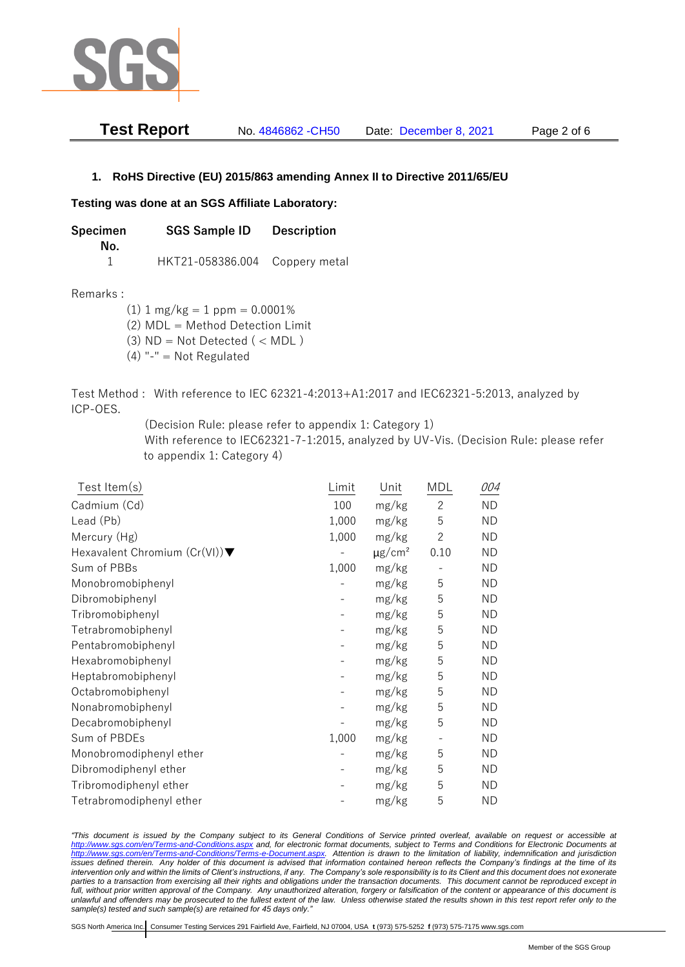

| <b>Test Report</b> | No. 4846862 - CH50 | Date: December 8, 2021 | Page 2 of 6 |
|--------------------|--------------------|------------------------|-------------|
|--------------------|--------------------|------------------------|-------------|

## **1. RoHS Directive (EU) 2015/863 amending Annex II to Directive 2011/65/EU**

## **Testing was done at an SGS Affiliate Laboratory:**

**Specimen SGS Sample ID Description No.** 1 HKT21-058386.004 Coppery metal

Remarks :

 $(1)$  1 mg/kg = 1 ppm = 0.0001%

(2) MDL = Method Detection Limit

- $(3)$  ND = Not Detected  $($  < MDL)
- (4) "-" = Not Regulated

Test Method : With reference to IEC 62321-4:2013+A1:2017 and IEC62321-5:2013, analyzed by ICP-OES.

(Decision Rule: please refer to appendix 1: Category 1)

With reference to IEC62321-7-1:2015, analyzed by UV-Vis. (Decision Rule: please refer to appendix 1: Category 4)

| Test Item(s)                  | Limit | Unit                    | MDL                      | 004       |
|-------------------------------|-------|-------------------------|--------------------------|-----------|
| Cadmium (Cd)                  | 100   | mg/kg                   | $\overline{2}$           | <b>ND</b> |
| Lead (Pb)                     | 1,000 | mg/kg                   | 5                        | <b>ND</b> |
| Mercury (Hg)                  | 1,000 | mg/kg                   | $\mathbf{2}$             | ΝD        |
| Hexavalent Chromium (Cr(VI))▼ |       | $\mu$ g/cm <sup>2</sup> | 0.10                     | <b>ND</b> |
| Sum of PBBs                   | 1,000 | mg/kg                   |                          | <b>ND</b> |
| Monobromobiphenyl             |       | mg/kg                   | 5                        | <b>ND</b> |
| Dibromobiphenyl               |       | mg/kg                   | 5                        | ΝD        |
| Tribromobiphenyl              |       | mg/kg                   | 5                        | <b>ND</b> |
| Tetrabromobiphenyl            |       | mg/kg                   | 5                        | <b>ND</b> |
| Pentabromobiphenyl            |       | mg/kg                   | 5                        | <b>ND</b> |
| Hexabromobiphenyl             |       | mg/kg                   | 5                        | ΝD        |
| Heptabromobiphenyl            |       | mg/kg                   | 5                        | <b>ND</b> |
| Octabromobiphenyl             |       | mg/kg                   | 5                        | <b>ND</b> |
| Nonabromobiphenyl             |       | mg/kg                   | 5                        | <b>ND</b> |
| Decabromobiphenyl             |       | mg/kg                   | 5                        | <b>ND</b> |
| Sum of PBDEs                  | 1,000 | mg/kg                   | $\overline{\phantom{a}}$ | <b>ND</b> |
| Monobromodiphenyl ether       |       | mg/kg                   | 5                        | <b>ND</b> |
| Dibromodiphenyl ether         |       | mg/kg                   | 5                        | <b>ND</b> |
| Tribromodiphenyl ether        |       | mg/kg                   | 5                        | ND        |
| Tetrabromodiphenyl ether      |       | mg/kg                   | 5                        | <b>ND</b> |

*"This document is issued by the Company subject to its General Conditions of Service printed overleaf, available on request or accessible at <http://www.sgs.com/en/Terms-and-Conditions.aspx> and, for electronic format documents, subject to Terms and Conditions for Electronic Documents at [http://www.sgs.com/en/Terms-and-Conditions/Terms-e-Document.aspx.](http://www.sgs.com/en/Terms-and-Conditions/Terms-e-Document.aspx) Attention is drawn to the limitation of liability, indemnification and jurisdiction issues defined therein. Any holder of this document is advised that information contained hereon reflects the Company's findings at the time of its intervention only and within the limits of Client's instructions, if any. The Company's sole responsibility is to its Client and this document does not exonerate parties to a transaction from exercising all their rights and obligations under the transaction documents. This document cannot be reproduced except in full, without prior written approval of the Company. Any unauthorized alteration, forgery or falsification of the content or appearance of this document is unlawful and offenders may be prosecuted to the fullest extent of the law. Unless otherwise stated the results shown in this test report refer only to the sample(s) tested and such sample(s) are retained for 45 days only."*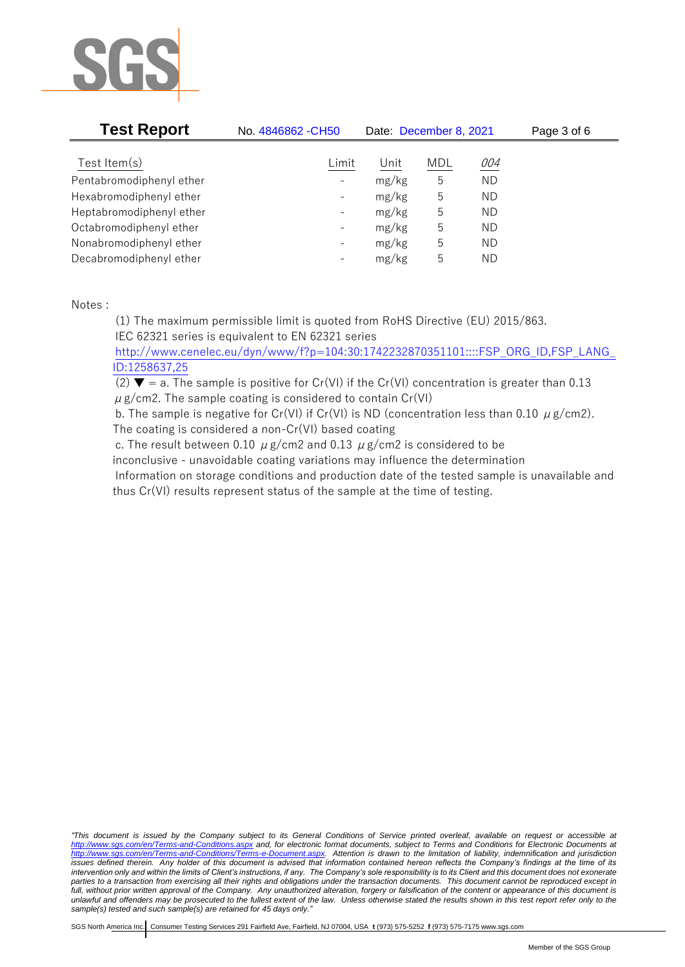

| <b>Test Report</b>       | No. 4846862 - CH50       | Date: December 8, 2021 |            |           | Page 3 of 6 |
|--------------------------|--------------------------|------------------------|------------|-----------|-------------|
| Test Item $(s)$          | Limit                    | Unit                   | <b>MDL</b> | 004       |             |
| Pentabromodiphenyl ether | $\overline{\phantom{a}}$ | mg/kg                  | 5          | <b>ND</b> |             |
| Hexabromodiphenyl ether  | $\qquad \qquad -$        | mg/kg                  | 5          | ND        |             |
| Heptabromodiphenyl ether | $\qquad \qquad -$        | mg/kg                  | 5          | ND        |             |
| Octabromodiphenyl ether  | $\qquad \qquad -$        | mg/kg                  | 5          | ND        |             |
| Nonabromodiphenyl ether  | $\qquad \qquad -$        | mg/kg                  | 5          | ND        |             |
| Decabromodiphenyl ether  | $\overline{\phantom{a}}$ | mg/kg                  | 5          | ΝD        |             |

Notes :

(1) The maximum permissible limit is quoted from RoHS Directive (EU) 2015/863. IEC 62321 series is equivalent to EN 62321 series

[http://www.cenelec.eu/dyn/www/f?p=104:30:1742232870351101::::FSP\\_ORG\\_ID,FSP\\_LANG\\_](http://www.cenelec.eu/dyn/www/f?p=104:30:1742232870351101::::FSP_ORG_ID,FSP_LANG_ID:1258637,25) [ID:1258637,25](http://www.cenelec.eu/dyn/www/f?p=104:30:1742232870351101::::FSP_ORG_ID,FSP_LANG_ID:1258637,25)

(2)  $\blacktriangledown$  = a. The sample is positive for Cr(VI) if the Cr(VI) concentration is greater than 0.13  $\mu$  g/cm2. The sample coating is considered to contain Cr(VI)

b. The sample is negative for Cr(VI) if Cr(VI) is ND (concentration less than 0.10  $\mu$  g/cm2). The coating is considered a non-Cr(VI) based coating

c. The result between 0.10  $\mu$  g/cm2 and 0.13  $\mu$  g/cm2 is considered to be inconclusive - unavoidable coating variations may influence the determination Information on storage conditions and production date of the tested sample is unavailable and thus Cr(VI) results represent status of the sample at the time of testing.

*"This document is issued by the Company subject to its General Conditions of Service printed overleaf, available on request or accessible at <http://www.sgs.com/en/Terms-and-Conditions.aspx> and, for electronic format documents, subject to Terms and Conditions for Electronic Documents at [http://www.sgs.com/en/Terms-and-Conditions/Terms-e-Document.aspx.](http://www.sgs.com/en/Terms-and-Conditions/Terms-e-Document.aspx) Attention is drawn to the limitation of liability, indemnification and jurisdiction issues defined therein. Any holder of this document is advised that information contained hereon reflects the Company's findings at the time of its intervention only and within the limits of Client's instructions, if any. The Company's sole responsibility is to its Client and this document does not exonerate parties to a transaction from exercising all their rights and obligations under the transaction documents. This document cannot be reproduced except in full, without prior written approval of the Company. Any unauthorized alteration, forgery or falsification of the content or appearance of this document is unlawful and offenders may be prosecuted to the fullest extent of the law. Unless otherwise stated the results shown in this test report refer only to the sample(s) tested and such sample(s) are retained for 45 days only."*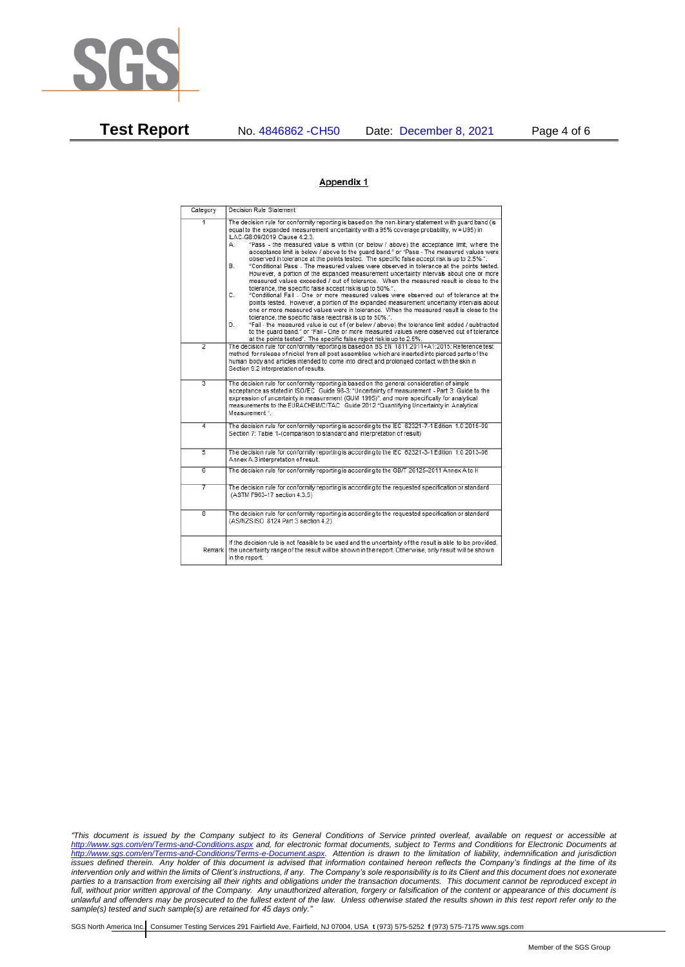

**Test Report** No. 4846862 -CH50 Date: December 8, 2021 Page 4 of 6

## Appendix 1

| Category       | Decision Rule Statement                                                                                                                                                                                                                                                                                                                                                                                                                                                                                                                                                                                                                                                                                                                                                                                                                                                                                                                                                                                                                                                                                                                                                                                                                                                                                                                                                                                                                                                                                            |
|----------------|--------------------------------------------------------------------------------------------------------------------------------------------------------------------------------------------------------------------------------------------------------------------------------------------------------------------------------------------------------------------------------------------------------------------------------------------------------------------------------------------------------------------------------------------------------------------------------------------------------------------------------------------------------------------------------------------------------------------------------------------------------------------------------------------------------------------------------------------------------------------------------------------------------------------------------------------------------------------------------------------------------------------------------------------------------------------------------------------------------------------------------------------------------------------------------------------------------------------------------------------------------------------------------------------------------------------------------------------------------------------------------------------------------------------------------------------------------------------------------------------------------------------|
| $\overline{1}$ | The decision rule for conformity reporting is based on the non-binary statement with quard band (is<br>equal to the expanded measurement uncertainty with a 95% coverage probability, w = U95) in<br>ILAC-G8:09/2019 Clause 4.2.3.<br>"Pass - the measured value is within (or below / above) the acceptance limit, where the<br>А.<br>acceptance limit is below / above to the quard band." or "Pass - The measured values were<br>observed in tolerance at the points tested. The specific false accept risk is up to 2.5%.".<br>"Conditional Pass - The measured values were observed in tolerance at the points tested.<br>В.<br>However, a portion of the expanded measurement uncertainty intervals about one or more<br>measured values exceeded / out of tolerance. When the measured result is close to the<br>tolerance, the specific false accept risk is up to 50%.".<br>C.<br>"Conditional Fail - One or more measured values were observed out of tolerance at the<br>points tested. However, a portion of the expanded measurement uncertainty intervals about<br>one or more measured values were in tolerance. When the measured result is close to the<br>tolerance, the specific false reject risk is up to 50%.".<br>"Fail - the measured value is out of (or below / above) the tolerance limit added / subtracted<br>D.<br>to the quard band." or "Fail - One or more measured values were observed out of tolerance<br>at the points tested". The specific false reject risk is up to 2.5%. |
| $\overline{2}$ | The decision rule for conformity reporting is based on BS EN 1811:2011+A1:2015: Reference test<br>method for release of nickel from all post assemblies which are inserted into pierced parts of the<br>human body and articles intended to come into direct and prolonged contact with the skin in<br>Section 9.2 interpretation of results.                                                                                                                                                                                                                                                                                                                                                                                                                                                                                                                                                                                                                                                                                                                                                                                                                                                                                                                                                                                                                                                                                                                                                                      |
| $\overline{3}$ | The decision rule for conformity reporting is based on the general consideration of simple<br>acceptance as stated in ISO/IEC Guide 98-3: "Uncertainty of measurement - Part 3: Guide to the<br>expression of uncertainty in measurement (GUM 1995)", and more specifically for analytical<br>measurements to the EURACHEM/CITAC Guide 2012 "Quantifying Uncertainty in Analytical<br>Measurement *                                                                                                                                                                                                                                                                                                                                                                                                                                                                                                                                                                                                                                                                                                                                                                                                                                                                                                                                                                                                                                                                                                                |
| 4              | The decision rule for conformity reporting is according to the IEC 62321-7-1 Edition 1.0 2015-09<br>Section 7: Table 1-(comparison to standard and interpretation of result)                                                                                                                                                                                                                                                                                                                                                                                                                                                                                                                                                                                                                                                                                                                                                                                                                                                                                                                                                                                                                                                                                                                                                                                                                                                                                                                                       |
| $\overline{5}$ | The decision rule for conformity reporting is according to the IEC 62321-3-1 Edition 1.0 2013-06<br>Annex A.3 interpretation of result.                                                                                                                                                                                                                                                                                                                                                                                                                                                                                                                                                                                                                                                                                                                                                                                                                                                                                                                                                                                                                                                                                                                                                                                                                                                                                                                                                                            |
| $\overline{6}$ | The decision rule for conformity reporting is according to the GB/T 26125-2011 Annex A to H                                                                                                                                                                                                                                                                                                                                                                                                                                                                                                                                                                                                                                                                                                                                                                                                                                                                                                                                                                                                                                                                                                                                                                                                                                                                                                                                                                                                                        |
| 7              | The decision rule for conformity reporting is according to the requested specification or standard<br>(ASTM F963-17 section 4.3.5)                                                                                                                                                                                                                                                                                                                                                                                                                                                                                                                                                                                                                                                                                                                                                                                                                                                                                                                                                                                                                                                                                                                                                                                                                                                                                                                                                                                 |
| $\overline{8}$ | The decision rule for conformity reporting is according to the requested specification or standard<br>(AS/NZS ISO 8124 Part 3 section 4.2)                                                                                                                                                                                                                                                                                                                                                                                                                                                                                                                                                                                                                                                                                                                                                                                                                                                                                                                                                                                                                                                                                                                                                                                                                                                                                                                                                                         |
| Remark         | If the decision rule is not feasible to be used and the uncertainty of the result is able to be provided.<br>the uncertainty range of the result will be shown in the report. Otherwise, only result will be shown<br>in the report.                                                                                                                                                                                                                                                                                                                                                                                                                                                                                                                                                                                                                                                                                                                                                                                                                                                                                                                                                                                                                                                                                                                                                                                                                                                                               |

*"This document is issued by the Company subject to its General Conditions of Service printed overleaf, available on request or accessible at <http://www.sgs.com/en/Terms-and-Conditions.aspx> and, for electronic format documents, subject to Terms and Conditions for Electronic Documents at [http://www.sgs.com/en/Terms-and-Conditions/Terms-e-Document.aspx.](http://www.sgs.com/en/Terms-and-Conditions/Terms-e-Document.aspx) Attention is drawn to the limitation of liability, indemnification and jurisdiction issues defined therein. Any holder of this document is advised that information contained hereon reflects the Company's findings at the time of its intervention only and within the limits of Client's instructions, if any. The Company's sole responsibility is to its Client and this document does not exonerate parties to a transaction from exercising all their rights and obligations under the transaction documents. This document cannot be reproduced except in full, without prior written approval of the Company. Any unauthorized alteration, forgery or falsification of the content or appearance of this document is unlawful and offenders may be prosecuted to the fullest extent of the law. Unless otherwise stated the results shown in this test report refer only to the sample(s) tested and such sample(s) are retained for 45 days only."*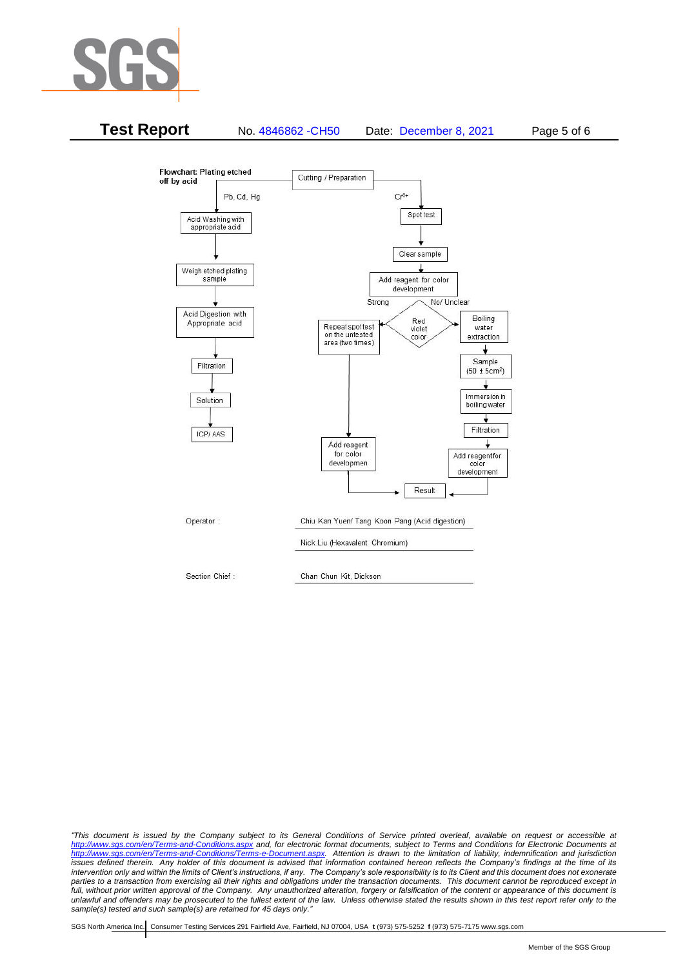



*"This document is issued by the Company subject to its General Conditions of Service printed overleaf, available on request or accessible at <http://www.sgs.com/en/Terms-and-Conditions.aspx> and, for electronic format documents, subject to Terms and Conditions for Electronic Documents at [http://www.sgs.com/en/Terms-and-Conditions/Terms-e-Document.aspx.](http://www.sgs.com/en/Terms-and-Conditions/Terms-e-Document.aspx) Attention is drawn to the limitation of liability, indemnification and jurisdiction issues defined therein. Any holder of this document is advised that information contained hereon reflects the Company's findings at the time of its intervention only and within the limits of Client's instructions, if any. The Company's sole responsibility is to its Client and this document does not exonerate*  parties to a transaction from exercising all their rights and obligations under the transaction documents. This document cannot be reproduced except in *full, without prior written approval of the Company. Any unauthorized alteration, forgery or falsification of the content or appearance of this document is unlawful and offenders may be prosecuted to the fullest extent of the law. Unless otherwise stated the results shown in this test report refer only to the sample(s) tested and such sample(s) are retained for 45 days only."*